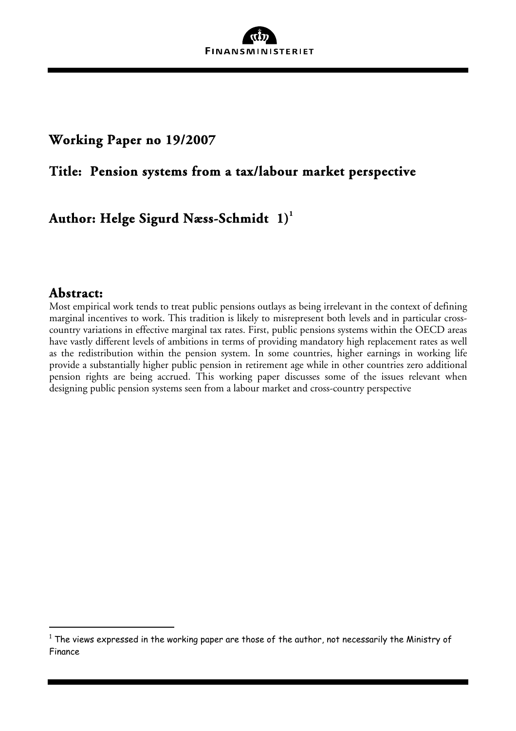

# **Working Paper no 19/2007**

# **Title: Pension systems from a tax/labour market perspective**

# **Author: Helge Sigurd Næss-Schmidt 1)<sup>1</sup>**

## **Abstract:**

 $\overline{a}$ 

Most empirical work tends to treat public pensions outlays as being irrelevant in the context of defining marginal incentives to work. This tradition is likely to misrepresent both levels and in particular crosscountry variations in effective marginal tax rates. First, public pensions systems within the OECD areas have vastly different levels of ambitions in terms of providing mandatory high replacement rates as well as the redistribution within the pension system. In some countries, higher earnings in working life provide a substantially higher public pension in retirement age while in other countries zero additional pension rights are being accrued. This working paper discusses some of the issues relevant when designing public pension systems seen from a labour market and cross-country perspective

 $^{\rm 1}$  The views expressed in the working paper are those of the author, not necessarily the Ministry of Finance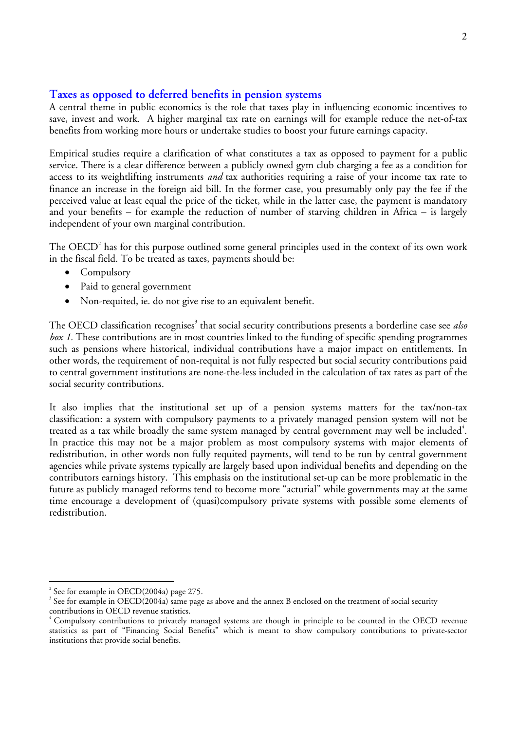#### **Taxes as opposed to deferred benefits in pension systems**

A central theme in public economics is the role that taxes play in influencing economic incentives to save, invest and work. A higher marginal tax rate on earnings will for example reduce the net-of-tax benefits from working more hours or undertake studies to boost your future earnings capacity.

Empirical studies require a clarification of what constitutes a tax as opposed to payment for a public service. There is a clear difference between a publicly owned gym club charging a fee as a condition for access to its weightlifting instruments *and* tax authorities requiring a raise of your income tax rate to finance an increase in the foreign aid bill. In the former case, you presumably only pay the fee if the perceived value at least equal the price of the ticket, while in the latter case, the payment is mandatory and your benefits – for example the reduction of number of starving children in Africa – is largely independent of your own marginal contribution.

The OECD $^2$  has for this purpose outlined some general principles used in the context of its own work in the fiscal field. To be treated as taxes, payments should be:

- Compulsory
- Paid to general government
- Non-requited, ie. do not give rise to an equivalent benefit.

The OECD classification recognises<sup>3</sup> that social security contributions presents a borderline case see *also box 1.* These contributions are in most countries linked to the funding of specific spending programmes such as pensions where historical, individual contributions have a major impact on entitlements. In other words, the requirement of non-requital is not fully respected but social security contributions paid to central government institutions are none-the-less included in the calculation of tax rates as part of the social security contributions.

It also implies that the institutional set up of a pension systems matters for the tax/non-tax classification: a system with compulsory payments to a privately managed pension system will not be treated as a tax while broadly the same system managed by central government may well be included<sup>4</sup>. In practice this may not be a major problem as most compulsory systems with major elements of redistribution, in other words non fully requited payments, will tend to be run by central government agencies while private systems typically are largely based upon individual benefits and depending on the contributors earnings history. This emphasis on the institutional set-up can be more problematic in the future as publicly managed reforms tend to become more "acturial" while governments may at the same time encourage a development of (quasi)compulsory private systems with possible some elements of redistribution.

 $\overline{a}$ 

<sup>2</sup> See for example in OECD(2004a) page 275.

<sup>3</sup> See for example in OECD(2004a) same page as above and the annex B enclosed on the treatment of social security contributions in OECD revenue statistics.

<sup>4</sup> Compulsory contributions to privately managed systems are though in principle to be counted in the OECD revenue statistics as part of "Financing Social Benefits" which is meant to show compulsory contributions to private-sector institutions that provide social benefits.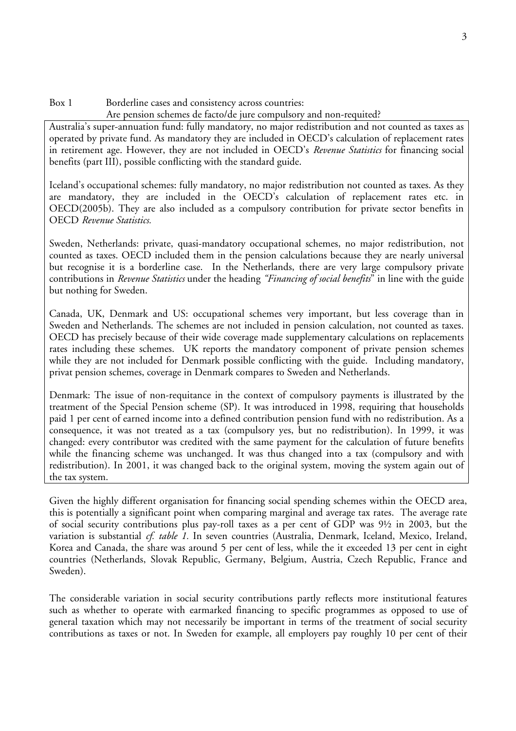## Box 1 Borderline cases and consistency across countries:

Are pension schemes de facto/de jure compulsory and non-requited?

Australia's super-annuation fund: fully mandatory, no major redistribution and not counted as taxes as operated by private fund. As mandatory they are included in OECD's calculation of replacement rates in retirement age. However, they are not included in OECD's *Revenue Statistics* for financing social benefits (part III), possible conflicting with the standard guide.

Iceland's occupational schemes: fully mandatory, no major redistribution not counted as taxes. As they are mandatory, they are included in the OECD's calculation of replacement rates etc. in OECD(2005b). They are also included as a compulsory contribution for private sector benefits in OECD *Revenue Statistics.* 

Sweden, Netherlands: private, quasi-mandatory occupational schemes, no major redistribution, not counted as taxes. OECD included them in the pension calculations because they are nearly universal but recognise it is a borderline case. In the Netherlands, there are very large compulsory private contributions in *Revenue Statistics* under the heading *"Financing of social benefits*" in line with the guide but nothing for Sweden.

Canada, UK, Denmark and US: occupational schemes very important, but less coverage than in Sweden and Netherlands. The schemes are not included in pension calculation, not counted as taxes. OECD has precisely because of their wide coverage made supplementary calculations on replacements rates including these schemes. UK reports the mandatory component of private pension schemes while they are not included for Denmark possible conflicting with the guide. Including mandatory, privat pension schemes, coverage in Denmark compares to Sweden and Netherlands.

Denmark: The issue of non-requitance in the context of compulsory payments is illustrated by the treatment of the Special Pension scheme (SP). It was introduced in 1998, requiring that households paid 1 per cent of earned income into a defined contribution pension fund with no redistribution. As a consequence, it was not treated as a tax (compulsory yes, but no redistribution). In 1999, it was changed: every contributor was credited with the same payment for the calculation of future benefits while the financing scheme was unchanged. It was thus changed into a tax (compulsory and with redistribution). In 2001, it was changed back to the original system, moving the system again out of the tax system.

Given the highly different organisation for financing social spending schemes within the OECD area, this is potentially a significant point when comparing marginal and average tax rates. The average rate of social security contributions plus pay-roll taxes as a per cent of GDP was 9½ in 2003, but the variation is substantial *cf. table 1.* In seven countries (Australia, Denmark, Iceland, Mexico, Ireland, Korea and Canada, the share was around 5 per cent of less, while the it exceeded 13 per cent in eight countries (Netherlands, Slovak Republic, Germany, Belgium, Austria, Czech Republic, France and Sweden).

The considerable variation in social security contributions partly reflects more institutional features such as whether to operate with earmarked financing to specific programmes as opposed to use of general taxation which may not necessarily be important in terms of the treatment of social security contributions as taxes or not. In Sweden for example, all employers pay roughly 10 per cent of their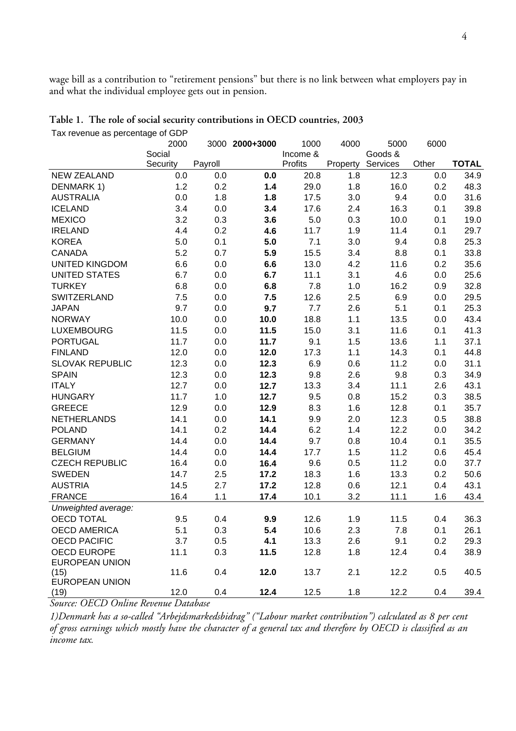wage bill as a contribution to "retirement pensions" but there is no link between what employers pay in and what the individual employee gets out in pension.

| rax revenue as percentage or GDF |          |         |                |          |          |          |       |              |
|----------------------------------|----------|---------|----------------|----------|----------|----------|-------|--------------|
|                                  | 2000     |         | 3000 2000+3000 | 1000     | 4000     | 5000     | 6000  |              |
|                                  | Social   |         |                | Income & |          | Goods &  |       |              |
|                                  | Security | Payroll |                | Profits  | Property | Services | Other | <b>TOTAL</b> |
| <b>NEW ZEALAND</b>               | 0.0      | 0.0     | 0.0            | 20.8     | 1.8      | 12.3     | 0.0   | 34.9         |
| <b>DENMARK 1)</b>                | 1.2      | 0.2     | 1.4            | 29.0     | 1.8      | 16.0     | 0.2   | 48.3         |
| <b>AUSTRALIA</b>                 | 0.0      | 1.8     | 1.8            | 17.5     | 3.0      | 9.4      | 0.0   | 31.6         |
| <b>ICELAND</b>                   | 3.4      | 0.0     | 3.4            | 17.6     | 2.4      | 16.3     | 0.1   | 39.8         |
| <b>MEXICO</b>                    | 3.2      | 0.3     | 3.6            | 5.0      | 0.3      | 10.0     | 0.1   | 19.0         |
| <b>IRELAND</b>                   | 4.4      | 0.2     | 4.6            | 11.7     | 1.9      | 11.4     | 0.1   | 29.7         |
| <b>KOREA</b>                     | 5.0      | 0.1     | 5.0            | 7.1      | 3.0      | 9.4      | 0.8   | 25.3         |
| <b>CANADA</b>                    | 5.2      | 0.7     | 5.9            | 15.5     | 3.4      | 8.8      | 0.1   | 33.8         |
| <b>UNITED KINGDOM</b>            | 6.6      | 0.0     | 6.6            | 13.0     | 4.2      | 11.6     | 0.2   | 35.6         |
| <b>UNITED STATES</b>             | 6.7      | 0.0     | 6.7            | 11.1     | 3.1      | 4.6      | 0.0   | 25.6         |
| <b>TURKEY</b>                    | 6.8      | 0.0     | 6.8            | 7.8      | 1.0      | 16.2     | 0.9   | 32.8         |
| SWITZERLAND                      | 7.5      | 0.0     | 7.5            | 12.6     | 2.5      | 6.9      | 0.0   | 29.5         |
| <b>JAPAN</b>                     | 9.7      | 0.0     | 9.7            | 7.7      | 2.6      | 5.1      | 0.1   | 25.3         |
| <b>NORWAY</b>                    | 10.0     | 0.0     | 10.0           | 18.8     | 1.1      | 13.5     | 0.0   | 43.4         |
| <b>LUXEMBOURG</b>                | 11.5     | 0.0     | 11.5           | 15.0     | 3.1      | 11.6     | 0.1   | 41.3         |
| <b>PORTUGAL</b>                  | 11.7     | 0.0     | 11.7           | 9.1      | 1.5      | 13.6     | 1.1   | 37.1         |
| <b>FINLAND</b>                   | 12.0     | 0.0     | 12.0           | 17.3     | 1.1      | 14.3     | 0.1   | 44.8         |
| <b>SLOVAK REPUBLIC</b>           | 12.3     | 0.0     | 12.3           | 6.9      | 0.6      | 11.2     | 0.0   | 31.1         |
| <b>SPAIN</b>                     | 12.3     | 0.0     | 12.3           | 9.8      | 2.6      | 9.8      | 0.3   | 34.9         |
| <b>ITALY</b>                     | 12.7     | 0.0     | 12.7           | 13.3     | 3.4      | 11.1     | 2.6   | 43.1         |
| <b>HUNGARY</b>                   | 11.7     | 1.0     | 12.7           | 9.5      | 0.8      | 15.2     | 0.3   | 38.5         |
| <b>GREECE</b>                    | 12.9     | 0.0     | 12.9           | 8.3      | 1.6      | 12.8     | 0.1   | 35.7         |
| <b>NETHERLANDS</b>               | 14.1     | 0.0     | 14.1           | 9.9      | 2.0      | 12.3     | 0.5   | 38.8         |
| <b>POLAND</b>                    | 14.1     | 0.2     | 14.4           | 6.2      | 1.4      | 12.2     | 0.0   | 34.2         |
| <b>GERMANY</b>                   | 14.4     | 0.0     | 14.4           | 9.7      | 0.8      | 10.4     | 0.1   | 35.5         |
| <b>BELGIUM</b>                   | 14.4     | 0.0     | 14.4           | 17.7     | 1.5      | 11.2     | 0.6   | 45.4         |
| <b>CZECH REPUBLIC</b>            | 16.4     | 0.0     | 16.4           | 9.6      | 0.5      | 11.2     | 0.0   | 37.7         |
| <b>SWEDEN</b>                    | 14.7     | 2.5     | 17.2           | 18.3     | 1.6      | 13.3     | 0.2   | 50.6         |
| <b>AUSTRIA</b>                   | 14.5     | 2.7     | 17.2           | 12.8     | 0.6      | 12.1     | 0.4   | 43.1         |
| <b>FRANCE</b>                    | 16.4     | 1.1     | 17.4           | 10.1     | 3.2      | 11.1     | 1.6   | 43.4         |
| Unweighted average:              |          |         |                |          |          |          |       |              |
| <b>OECD TOTAL</b>                | 9.5      | 0.4     | 9.9            | 12.6     | 1.9      | 11.5     | 0.4   | 36.3         |
| <b>OECD AMERICA</b>              | 5.1      | 0.3     | 5.4            | 10.6     | 2.3      | 7.8      | 0.1   | 26.1         |
| <b>OECD PACIFIC</b>              | 3.7      | 0.5     | 4.1            | 13.3     | 2.6      | 9.1      | 0.2   | 29.3         |
| <b>OECD EUROPE</b>               | 11.1     | 0.3     | 11.5           | 12.8     | 1.8      | 12.4     | 0.4   | 38.9         |
| EUROPEAN UNION                   |          |         |                |          |          |          |       |              |
| (15)                             | 11.6     | 0.4     | 12.0           | 13.7     | 2.1      | 12.2     | 0.5   | 40.5         |
| EUROPEAN UNION                   |          |         |                |          |          |          |       |              |
| (19)                             | 12.0     | 0.4     | 12.4           | 12.5     | 1.8      | 12.2     | 0.4   | 39.4         |

**Table 1. The role of social security contributions in OECD countries, 2003**  Tax revenue as percentage of GDP

*Source: OECD Online Revenue Database* 

*1)Denmark has a so-called "Arbejdsmarkedsbidrag" ("Labour market contribution") calculated as 8 per cent of gross earnings which mostly have the character of a general tax and therefore by OECD is classified as an income tax.*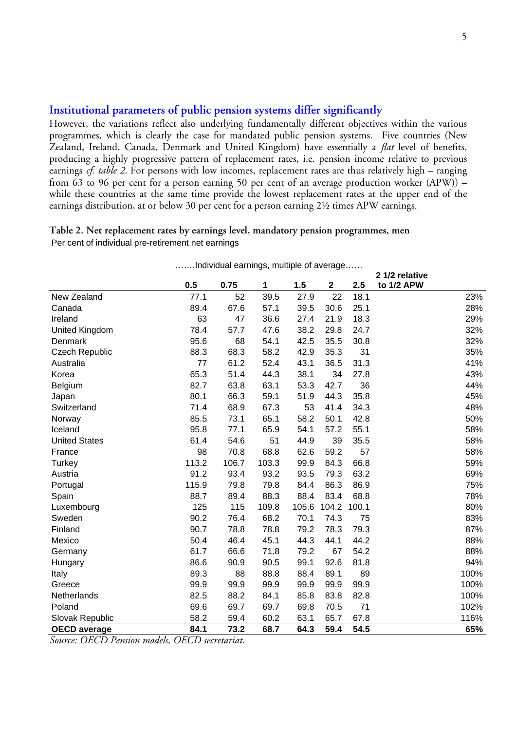### **Institutional parameters of public pension systems differ significantly**

However, the variations reflect also underlying fundamentally different objectives within the various programmes, which is clearly the case for mandated public pension systems. Five countries (New Zealand, Ireland, Canada, Denmark and United Kingdom) have essentially a *flat* level of benefits, producing a highly progressive pattern of replacement rates, i.e. pension income relative to previous earnings *cf. table 2.* For persons with low incomes, replacement rates are thus relatively high – ranging from 63 to 96 per cent for a person earning 50 per cent of an average production worker (APW)) – while these countries at the same time provide the lowest replacement rates at the upper end of the earnings distribution, at or below 30 per cent for a person earning 2½ times APW earnings.

|                       | .Individual earnings, multiple of average |       |       |       |              |       |                |      |
|-----------------------|-------------------------------------------|-------|-------|-------|--------------|-------|----------------|------|
|                       |                                           |       |       |       |              |       | 2 1/2 relative |      |
|                       | 0.5                                       | 0.75  | 1     | 1.5   | $\mathbf{2}$ | 2.5   | to 1/2 APW     |      |
| New Zealand           | 77.1                                      | 52    | 39.5  | 27.9  | 22           | 18.1  |                | 23%  |
| Canada                | 89.4                                      | 67.6  | 57.1  | 39.5  | 30.6         | 25.1  |                | 28%  |
| Ireland               | 63                                        | 47    | 36.6  | 27.4  | 21.9         | 18.3  |                | 29%  |
| United Kingdom        | 78.4                                      | 57.7  | 47.6  | 38.2  | 29.8         | 24.7  |                | 32%  |
| Denmark               | 95.6                                      | 68    | 54.1  | 42.5  | 35.5         | 30.8  |                | 32%  |
| <b>Czech Republic</b> | 88.3                                      | 68.3  | 58.2  | 42.9  | 35.3         | 31    |                | 35%  |
| Australia             | 77                                        | 61.2  | 52.4  | 43.1  | 36.5         | 31.3  |                | 41%  |
| Korea                 | 65.3                                      | 51.4  | 44.3  | 38.1  | 34           | 27.8  |                | 43%  |
| Belgium               | 82.7                                      | 63.8  | 63.1  | 53.3  | 42.7         | 36    |                | 44%  |
| Japan                 | 80.1                                      | 66.3  | 59.1  | 51.9  | 44.3         | 35.8  |                | 45%  |
| Switzerland           | 71.4                                      | 68.9  | 67.3  | 53    | 41.4         | 34.3  |                | 48%  |
| Norway                | 85.5                                      | 73.1  | 65.1  | 58.2  | 50.1         | 42.8  |                | 50%  |
| Iceland               | 95.8                                      | 77.1  | 65.9  | 54.1  | 57.2         | 55.1  |                | 58%  |
| <b>United States</b>  | 61.4                                      | 54.6  | 51    | 44.9  | 39           | 35.5  |                | 58%  |
| France                | 98                                        | 70.8  | 68.8  | 62.6  | 59.2         | 57    |                | 58%  |
| Turkey                | 113.2                                     | 106.7 | 103.3 | 99.9  | 84.3         | 66.8  |                | 59%  |
| Austria               | 91.2                                      | 93.4  | 93.2  | 93.5  | 79.3         | 63.2  |                | 69%  |
| Portugal              | 115.9                                     | 79.8  | 79.8  | 84.4  | 86.3         | 86.9  |                | 75%  |
| Spain                 | 88.7                                      | 89.4  | 88.3  | 88.4  | 83.4         | 68.8  |                | 78%  |
| Luxembourg            | 125                                       | 115   | 109.8 | 105.6 | 104.2        | 100.1 |                | 80%  |
| Sweden                | 90.2                                      | 76.4  | 68.2  | 70.1  | 74.3         | 75    |                | 83%  |
| Finland               | 90.7                                      | 78.8  | 78.8  | 79.2  | 78.3         | 79.3  |                | 87%  |
| Mexico                | 50.4                                      | 46.4  | 45.1  | 44.3  | 44.1         | 44.2  |                | 88%  |
| Germany               | 61.7                                      | 66.6  | 71.8  | 79.2  | 67           | 54.2  |                | 88%  |
| Hungary               | 86.6                                      | 90.9  | 90.5  | 99.1  | 92.6         | 81.8  |                | 94%  |
| Italy                 | 89.3                                      | 88    | 88.8  | 88.4  | 89.1         | 89    |                | 100% |
| Greece                | 99.9                                      | 99.9  | 99.9  | 99.9  | 99.9         | 99.9  |                | 100% |
| Netherlands           | 82.5                                      | 88.2  | 84.1  | 85.8  | 83.8         | 82.8  |                | 100% |
| Poland                | 69.6                                      | 69.7  | 69.7  | 69.8  | 70.5         | 71    |                | 102% |
| Slovak Republic       | 58.2                                      | 59.4  | 60.2  | 63.1  | 65.7         | 67.8  |                | 116% |
| <b>OECD</b> average   | 84.1                                      | 73.2  | 68.7  | 64.3  | 59.4         | 54.5  |                | 65%  |

**Table 2. Net replacement rates by earnings level, mandatory pension programmes, men**  Per cent of individual pre-retirement net earnings

*Source: OECD Pension models, OECD secretariat.*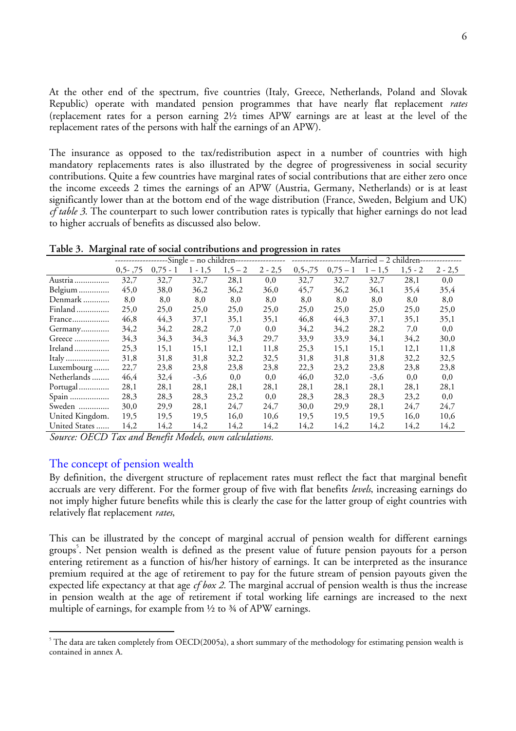At the other end of the spectrum, five countries (Italy, Greece, Netherlands, Poland and Slovak Republic) operate with mandated pension programmes that have nearly flat replacement *rates* (replacement rates for a person earning 2½ times APW earnings are at least at the level of the replacement rates of the persons with half the earnings of an APW).

The insurance as opposed to the tax/redistribution aspect in a number of countries with high mandatory replacements rates is also illustrated by the degree of progressiveness in social security contributions. Quite a few countries have marginal rates of social contributions that are either zero once the income exceeds 2 times the earnings of an APW (Austria, Germany, Netherlands) or is at least significantly lower than at the bottom end of the wage distribution (France, Sweden, Belgium and UK) *cf table 3*. The counterpart to such lower contribution rates is typically that higher earnings do not lead to higher accruals of benefits as discussed also below.

|  | Table 3. Marginal rate of social contributions and progression in rates |  |  |
|--|-------------------------------------------------------------------------|--|--|
|  |                                                                         |  |  |

|                 |              | -Single – no children------------------- |           |           |           |            |          |           | -Married - 2 children--------------- |           |
|-----------------|--------------|------------------------------------------|-----------|-----------|-----------|------------|----------|-----------|--------------------------------------|-----------|
|                 | $0.5 - 0.75$ | $0,75 - 1$                               | $1 - 1,5$ | $1,5 - 2$ | $2 - 2,5$ | $0, 5-.75$ | $0,75-1$ | $1 - 1,5$ | $1, 5 - 2$                           | $2 - 2,5$ |
| Austria         | 32,7         | 32,7                                     | 32,7      | 28,1      | 0,0       | 32,7       | 32,7     | 32,7      | 28,1                                 | 0,0       |
| Belgium         | 45,0         | 38,0                                     | 36,2      | 36,2      | 36,0      | 45,7       | 36,2     | 36,1      | 35,4                                 | 35,4      |
| Denmark         | 8,0          | 8,0                                      | 8,0       | 8,0       | 8,0       | 8,0        | 8,0      | 8,0       | 8,0                                  | 8,0       |
| Finland         | 25,0         | 25,0                                     | 25,0      | 25,0      | 25,0      | 25,0       | 25,0     | 25,0      | 25,0                                 | 25,0      |
| France          | 46,8         | 44,3                                     | 37,1      | 35,1      | 35,1      | 46,8       | 44,3     | 37,1      | 35,1                                 | 35,1      |
| Germany         | 34,2         | 34,2                                     | 28,2      | 7,0       | 0,0       | 34,2       | 34,2     | 28,2      | 7,0                                  | 0,0       |
| $G$ reece       | 34,3         | 34,3                                     | 34,3      | 34,3      | 29,7      | 33,9       | 33,9     | 34,1      | 34,2                                 | 30,0      |
| Ireland         | 25,3         | 15,1                                     | 15,1      | 12,1      | 11,8      | 25,3       | 15,1     | 15,1      | 12,1                                 | 11,8      |
| Italy           | 31,8         | 31,8                                     | 31,8      | 32,2      | 32,5      | 31,8       | 31,8     | 31,8      | 32,2                                 | 32,5      |
| Luxembourg      | 22,7         | 23,8                                     | 23,8      | 23,8      | 23,8      | 22,3       | 23,2     | 23,8      | 23,8                                 | 23,8      |
| Netherlands     | 46,4         | 32,4                                     | $-3,6$    | 0,0       | 0,0       | 46,0       | 32,0     | $-3,6$    | 0,0                                  | 0,0       |
| Portugal        | 28,1         | 28,1                                     | 28,1      | 28,1      | 28,1      | 28,1       | 28,1     | 28,1      | 28,1                                 | 28,1      |
|                 | 28,3         | 28,3                                     | 28,3      | 23,2      | 0,0       | 28,3       | 28,3     | 28,3      | 23,2                                 | 0,0       |
| Sweden          | 30,0         | 29,9                                     | 28,1      | 24,7      | 24,7      | 30,0       | 29,9     | 28,1      | 24,7                                 | 24,7      |
| United Kingdom. | 19,5         | 19,5                                     | 19,5      | 16,0      | 10,6      | 19,5       | 19,5     | 19,5      | 16,0                                 | 10,6      |
| United States   | 14,2         | 14,2                                     | 14,2      | 14,2      | 14,2      | 14,2       | 14,2     | 14,2      | 14,2                                 | 14,2      |

*Source: OECD Tax and Benefit Models, own calculations.* 

#### The concept of pension wealth

 $\overline{a}$ 

By definition, the divergent structure of replacement rates must reflect the fact that marginal benefit accruals are very different. For the former group of five with flat benefits *levels*, increasing earnings do not imply higher future benefits while this is clearly the case for the latter group of eight countries with relatively flat replacement *rates*,

This can be illustrated by the concept of marginal accrual of pension wealth for different earnings groups<sup>5</sup>. Net pension wealth is defined as the present value of future pension payouts for a person entering retirement as a function of his/her history of earnings. It can be interpreted as the insurance premium required at the age of retirement to pay for the future stream of pension payouts given the expected life expectancy at that age *cf box 2.* The marginal accrual of pension wealth is thus the increase in pension wealth at the age of retirement if total working life earnings are increased to the next multiple of earnings, for example from  $\frac{1}{2}$  to  $\frac{3}{4}$  of APW earnings.

 $^5$  The data are taken completely from OECD(2005a), a short summary of the methodology for estimating pension wealth is contained in annex A.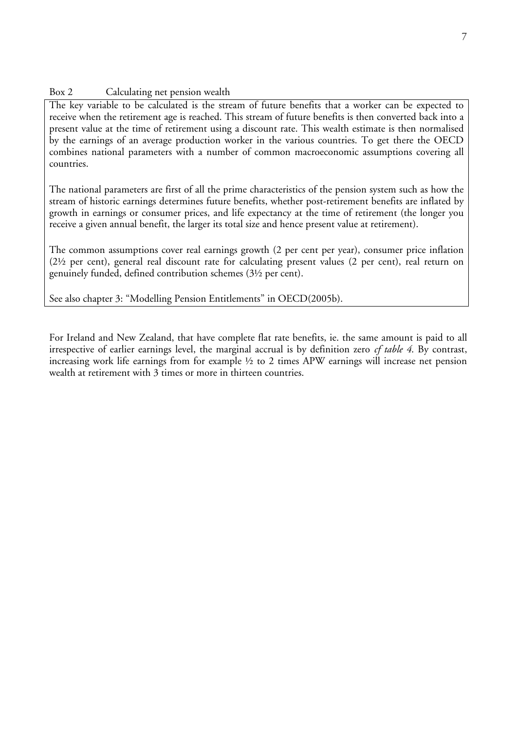#### Box 2 Calculating net pension wealth

The key variable to be calculated is the stream of future benefits that a worker can be expected to receive when the retirement age is reached. This stream of future benefits is then converted back into a present value at the time of retirement using a discount rate. This wealth estimate is then normalised by the earnings of an average production worker in the various countries. To get there the OECD combines national parameters with a number of common macroeconomic assumptions covering all countries.

The national parameters are first of all the prime characteristics of the pension system such as how the stream of historic earnings determines future benefits, whether post-retirement benefits are inflated by growth in earnings or consumer prices, and life expectancy at the time of retirement (the longer you receive a given annual benefit, the larger its total size and hence present value at retirement).

The common assumptions cover real earnings growth (2 per cent per year), consumer price inflation (2½ per cent), general real discount rate for calculating present values (2 per cent), real return on genuinely funded, defined contribution schemes (3½ per cent).

See also chapter 3: "Modelling Pension Entitlements" in OECD(2005b).

For Ireland and New Zealand, that have complete flat rate benefits, ie. the same amount is paid to all irrespective of earlier earnings level, the marginal accrual is by definition zero *cf table 4*. By contrast, increasing work life earnings from for example ½ to 2 times APW earnings will increase net pension wealth at retirement with 3 times or more in thirteen countries.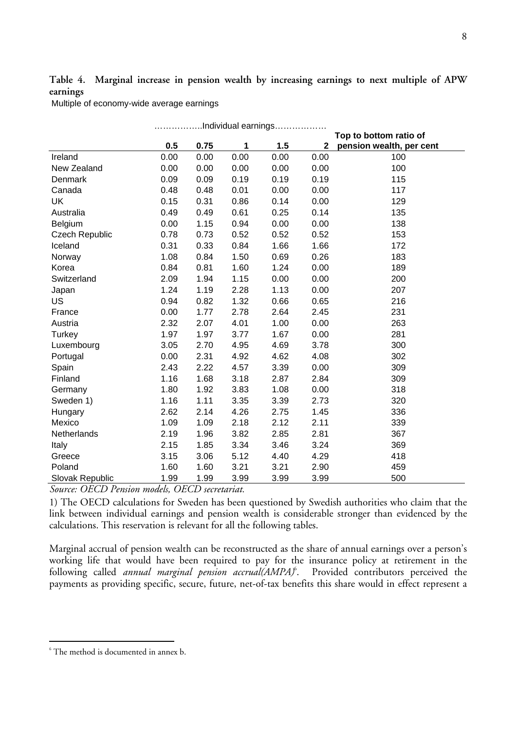**Table 4. Marginal increase in pension wealth by increasing earnings to next multiple of APW earnings** 

Multiple of economy-wide average earnings

|                       | .Individual earnings |      |      |      |      |                          |  |  |  |  |
|-----------------------|----------------------|------|------|------|------|--------------------------|--|--|--|--|
|                       |                      |      |      |      |      | Top to bottom ratio of   |  |  |  |  |
|                       | 0.5                  | 0.75 | 1    | 1.5  | 2    | pension wealth, per cent |  |  |  |  |
| Ireland               | 0.00                 | 0.00 | 0.00 | 0.00 | 0.00 | 100                      |  |  |  |  |
| New Zealand           | 0.00                 | 0.00 | 0.00 | 0.00 | 0.00 | 100                      |  |  |  |  |
| Denmark               | 0.09                 | 0.09 | 0.19 | 0.19 | 0.19 | 115                      |  |  |  |  |
| Canada                | 0.48                 | 0.48 | 0.01 | 0.00 | 0.00 | 117                      |  |  |  |  |
| <b>UK</b>             | 0.15                 | 0.31 | 0.86 | 0.14 | 0.00 | 129                      |  |  |  |  |
| Australia             | 0.49                 | 0.49 | 0.61 | 0.25 | 0.14 | 135                      |  |  |  |  |
| Belgium               | 0.00                 | 1.15 | 0.94 | 0.00 | 0.00 | 138                      |  |  |  |  |
| <b>Czech Republic</b> | 0.78                 | 0.73 | 0.52 | 0.52 | 0.52 | 153                      |  |  |  |  |
| Iceland               | 0.31                 | 0.33 | 0.84 | 1.66 | 1.66 | 172                      |  |  |  |  |
| Norway                | 1.08                 | 0.84 | 1.50 | 0.69 | 0.26 | 183                      |  |  |  |  |
| Korea                 | 0.84                 | 0.81 | 1.60 | 1.24 | 0.00 | 189                      |  |  |  |  |
| Switzerland           | 2.09                 | 1.94 | 1.15 | 0.00 | 0.00 | 200                      |  |  |  |  |
| Japan                 | 1.24                 | 1.19 | 2.28 | 1.13 | 0.00 | 207                      |  |  |  |  |
| US                    | 0.94                 | 0.82 | 1.32 | 0.66 | 0.65 | 216                      |  |  |  |  |
| France                | 0.00                 | 1.77 | 2.78 | 2.64 | 2.45 | 231                      |  |  |  |  |
| Austria               | 2.32                 | 2.07 | 4.01 | 1.00 | 0.00 | 263                      |  |  |  |  |
| Turkey                | 1.97                 | 1.97 | 3.77 | 1.67 | 0.00 | 281                      |  |  |  |  |
| Luxembourg            | 3.05                 | 2.70 | 4.95 | 4.69 | 3.78 | 300                      |  |  |  |  |
| Portugal              | 0.00                 | 2.31 | 4.92 | 4.62 | 4.08 | 302                      |  |  |  |  |
| Spain                 | 2.43                 | 2.22 | 4.57 | 3.39 | 0.00 | 309                      |  |  |  |  |
| Finland               | 1.16                 | 1.68 | 3.18 | 2.87 | 2.84 | 309                      |  |  |  |  |
| Germany               | 1.80                 | 1.92 | 3.83 | 1.08 | 0.00 | 318                      |  |  |  |  |
| Sweden 1)             | 1.16                 | 1.11 | 3.35 | 3.39 | 2.73 | 320                      |  |  |  |  |
| Hungary               | 2.62                 | 2.14 | 4.26 | 2.75 | 1.45 | 336                      |  |  |  |  |
| Mexico                | 1.09                 | 1.09 | 2.18 | 2.12 | 2.11 | 339                      |  |  |  |  |
| Netherlands           | 2.19                 | 1.96 | 3.82 | 2.85 | 2.81 | 367                      |  |  |  |  |
| Italy                 | 2.15                 | 1.85 | 3.34 | 3.46 | 3.24 | 369                      |  |  |  |  |
| Greece                | 3.15                 | 3.06 | 5.12 | 4.40 | 4.29 | 418                      |  |  |  |  |
| Poland                | 1.60                 | 1.60 | 3.21 | 3.21 | 2.90 | 459                      |  |  |  |  |
| Slovak Republic       | 1.99                 | 1.99 | 3.99 | 3.99 | 3.99 | 500                      |  |  |  |  |

*Source: OECD Pension models, OECD secretariat.* 

1) The OECD calculations for Sweden has been questioned by Swedish authorities who claim that the link between individual earnings and pension wealth is considerable stronger than evidenced by the calculations. This reservation is relevant for all the following tables.

Marginal accrual of pension wealth can be reconstructed as the share of annual earnings over a person's working life that would have been required to pay for the insurance policy at retirement in the following called *annual marginal pension accrual(AMPA)*<sup>6</sup> . Provided contributors perceived the payments as providing specific, secure, future, net-of-tax benefits this share would in effect represent a

 $\overline{a}$ 

<sup>6</sup> The method is documented in annex b.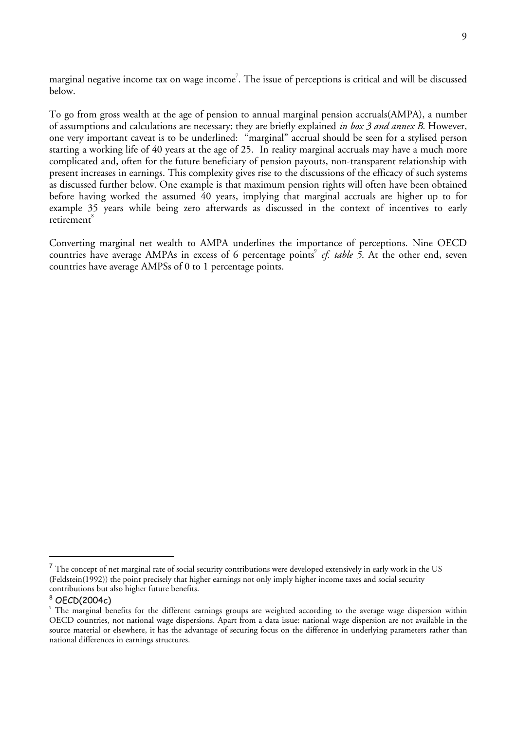marginal negative income tax on wage income<sup>7</sup>. The issue of perceptions is critical and will be discussed below.

To go from gross wealth at the age of pension to annual marginal pension accruals(AMPA), a number of assumptions and calculations are necessary; they are briefly explained *in box 3 and annex B*. However, one very important caveat is to be underlined: "marginal" accrual should be seen for a stylised person starting a working life of 40 years at the age of 25. In reality marginal accruals may have a much more complicated and, often for the future beneficiary of pension payouts, non-transparent relationship with present increases in earnings. This complexity gives rise to the discussions of the efficacy of such systems as discussed further below. One example is that maximum pension rights will often have been obtained before having worked the assumed 40 years, implying that marginal accruals are higher up to for example 35 years while being zero afterwards as discussed in the context of incentives to early retirement<sup>8</sup>

Converting marginal net wealth to AMPA underlines the importance of perceptions. Nine OECD countries have average AMPAs in excess of 6 percentage points<sup>9</sup> cf. table 5. At the other end, seven countries have average AMPSs of 0 to 1 percentage points.

 $\overline{a}$ 

 $7$  The concept of net marginal rate of social security contributions were developed extensively in early work in the US (Feldstein(1992)) the point precisely that higher earnings not only imply higher income taxes and social security contributions but also higher future benefits.

<sup>8</sup> OECD(2004c)

<sup>9</sup> The marginal benefits for the different earnings groups are weighted according to the average wage dispersion within OECD countries, not national wage dispersions. Apart from a data issue: national wage dispersion are not available in the source material or elsewhere, it has the advantage of securing focus on the difference in underlying parameters rather than national differences in earnings structures.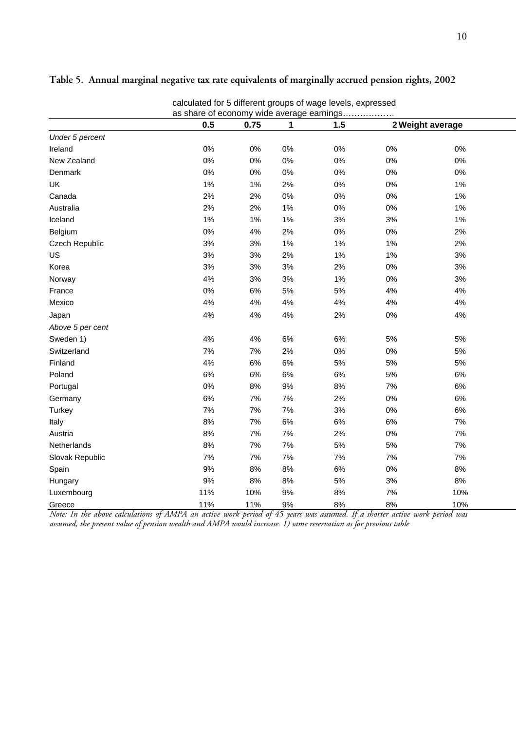|                  | as share of economy wide average earnings |      |    |     |       |                  |  |  |  |  |
|------------------|-------------------------------------------|------|----|-----|-------|------------------|--|--|--|--|
|                  | 0.5                                       | 0.75 | 1  | 1.5 |       | 2 Weight average |  |  |  |  |
| Under 5 percent  |                                           |      |    |     |       |                  |  |  |  |  |
| Ireland          | 0%                                        | 0%   | 0% | 0%  | 0%    | 0%               |  |  |  |  |
| New Zealand      | 0%                                        | 0%   | 0% | 0%  | 0%    | 0%               |  |  |  |  |
| Denmark          | 0%                                        | 0%   | 0% | 0%  | 0%    | 0%               |  |  |  |  |
| UK               | 1%                                        | 1%   | 2% | 0%  | 0%    | 1%               |  |  |  |  |
| Canada           | 2%                                        | 2%   | 0% | 0%  | 0%    | 1%               |  |  |  |  |
| Australia        | 2%                                        | 2%   | 1% | 0%  | 0%    | 1%               |  |  |  |  |
| Iceland          | 1%                                        | 1%   | 1% | 3%  | 3%    | 1%               |  |  |  |  |
| Belgium          | 0%                                        | 4%   | 2% | 0%  | 0%    | 2%               |  |  |  |  |
| Czech Republic   | 3%                                        | 3%   | 1% | 1%  | 1%    | 2%               |  |  |  |  |
| US               | 3%                                        | 3%   | 2% | 1%  | $1\%$ | 3%               |  |  |  |  |
| Korea            | 3%                                        | 3%   | 3% | 2%  | 0%    | 3%               |  |  |  |  |
| Norway           | 4%                                        | 3%   | 3% | 1%  | 0%    | 3%               |  |  |  |  |
| France           | 0%                                        | 6%   | 5% | 5%  | 4%    | 4%               |  |  |  |  |
| Mexico           | 4%                                        | 4%   | 4% | 4%  | 4%    | 4%               |  |  |  |  |
| Japan            | 4%                                        | 4%   | 4% | 2%  | 0%    | 4%               |  |  |  |  |
| Above 5 per cent |                                           |      |    |     |       |                  |  |  |  |  |
| Sweden 1)        | 4%                                        | 4%   | 6% | 6%  | 5%    | 5%               |  |  |  |  |
| Switzerland      | 7%                                        | 7%   | 2% | 0%  | 0%    | 5%               |  |  |  |  |
| Finland          | 4%                                        | 6%   | 6% | 5%  | 5%    | 5%               |  |  |  |  |
| Poland           | 6%                                        | 6%   | 6% | 6%  | 5%    | 6%               |  |  |  |  |
| Portugal         | 0%                                        | 8%   | 9% | 8%  | 7%    | 6%               |  |  |  |  |
| Germany          | 6%                                        | 7%   | 7% | 2%  | 0%    | 6%               |  |  |  |  |
| Turkey           | 7%                                        | 7%   | 7% | 3%  | $0\%$ | 6%               |  |  |  |  |
| Italy            | 8%                                        | 7%   | 6% | 6%  | 6%    | 7%               |  |  |  |  |
| Austria          | 8%                                        | 7%   | 7% | 2%  | 0%    | 7%               |  |  |  |  |
| Netherlands      | 8%                                        | 7%   | 7% | 5%  | 5%    | 7%               |  |  |  |  |
| Slovak Republic  | 7%                                        | 7%   | 7% | 7%  | 7%    | 7%               |  |  |  |  |
| Spain            | 9%                                        | 8%   | 8% | 6%  | 0%    | 8%               |  |  |  |  |
| Hungary          | 9%                                        | 8%   | 8% | 5%  | 3%    | $8%$             |  |  |  |  |
| Luxembourg       | 11%                                       | 10%  | 9% | 8%  | 7%    | 10%              |  |  |  |  |
| Greece           | 11%                                       | 11%  | 9% | 8%  | 8%    | 10%              |  |  |  |  |

## **Table 5. Annual marginal negative tax rate equivalents of marginally accrued pension rights, 2002**

calculated for 5 different groups of wage levels, expressed

*Note: In the above calculations of AMPA an active work period of 45 years was assumed. If a shorter active work period was assumed, the present value of pension wealth and AMPA would increase. 1) same reservation as for previous table*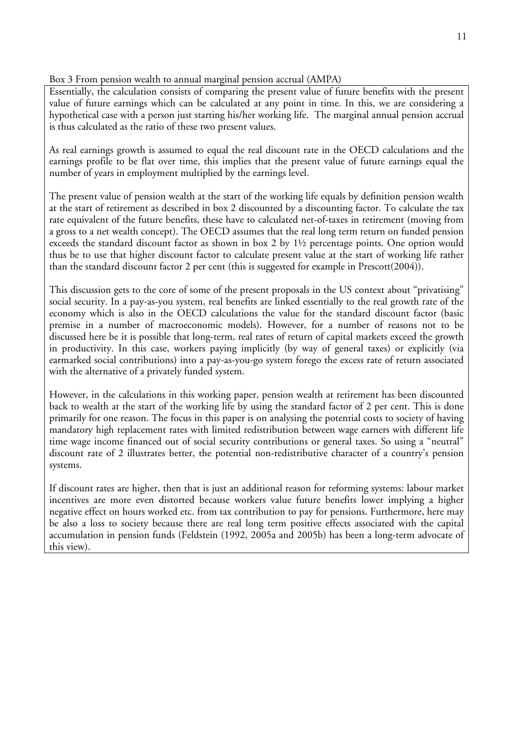#### Box 3 From pension wealth to annual marginal pension accrual (AMPA)

Essentially, the calculation consists of comparing the present value of future benefits with the present value of future earnings which can be calculated at any point in time. In this, we are considering a hypothetical case with a person just starting his/her working life. The marginal annual pension accrual is thus calculated as the ratio of these two present values.

As real earnings growth is assumed to equal the real discount rate in the OECD calculations and the earnings profile to be flat over time, this implies that the present value of future earnings equal the number of years in employment multiplied by the earnings level.

The present value of pension wealth at the start of the working life equals by definition pension wealth at the start of retirement as described in box 2 discounted by a discounting factor. To calculate the tax rate equivalent of the future benefits, these have to calculated net-of-taxes in retirement (moving from a gross to a net wealth concept). The OECD assumes that the real long term return on funded pension exceeds the standard discount factor as shown in box 2 by  $1\frac{1}{2}$  percentage points. One option would thus be to use that higher discount factor to calculate present value at the start of working life rather than the standard discount factor 2 per cent (this is suggested for example in Prescott(2004)).

This discussion gets to the core of some of the present proposals in the US context about "privatising" social security. In a pay-as-you system, real benefits are linked essentially to the real growth rate of the economy which is also in the OECD calculations the value for the standard discount factor (basic premise in a number of macroeconomic models). However, for a number of reasons not to be discussed here be it is possible that long-term, real rates of return of capital markets exceed the growth in productivity. In this case, workers paying implicitly (by way of general taxes) or explicitly (via earmarked social contributions) into a pay-as-you-go system forego the excess rate of return associated with the alternative of a privately funded system.

However, in the calculations in this working paper, pension wealth at retirement has been discounted back to wealth at the start of the working life by using the standard factor of 2 per cent. This is done primarily for one reason. The focus in this paper is on analysing the potential costs to society of having mandatory high replacement rates with limited redistribution between wage earners with different life time wage income financed out of social security contributions or general taxes. So using a "neutral" discount rate of 2 illustrates better, the potential non-redistributive character of a country's pension systems.

If discount rates are higher, then that is just an additional reason for reforming systems: labour market incentives are more even distorted because workers value future benefits lower implying a higher negative effect on hours worked etc. from tax contribution to pay for pensions. Furthermore, here may be also a loss to society because there are real long term positive effects associated with the capital accumulation in pension funds (Feldstein (1992, 2005a and 2005b) has been a long-term advocate of this view).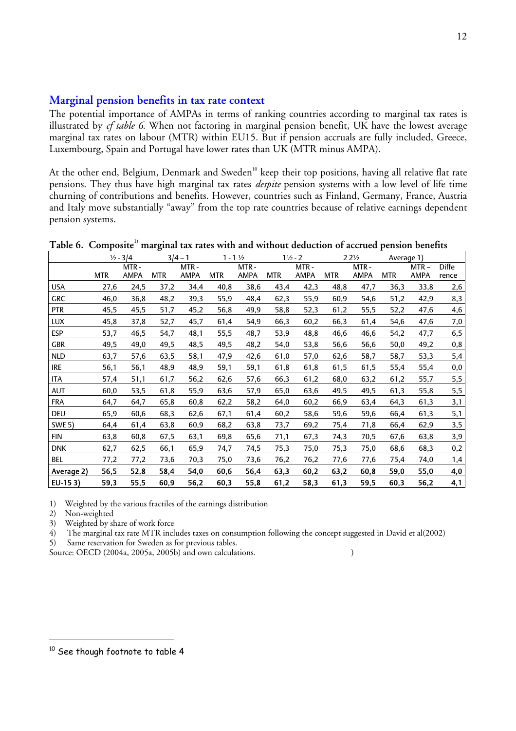## **Marginal pension benefits in tax rate context**

The potential importance of AMPAs in terms of ranking countries according to marginal tax rates is illustrated by *cf table 6*. When not factoring in marginal pension benefit, UK have the lowest average marginal tax rates on labour (MTR) within EU15. But if pension accruals are fully included, Greece, Luxembourg, Spain and Portugal have lower rates than UK (MTR minus AMPA).

At the other end, Belgium, Denmark and Sweden<sup>10</sup> keep their top positions, having all relative flat rate pensions. They thus have high marginal tax rates *despite* pension systems with a low level of life time churning of contributions and benefits. However, countries such as Finland, Germany, France, Austria and Italy move substantially "away" from the top rate countries because of relative earnings dependent pension systems.

|               |            | $\frac{1}{2} - \frac{3}{4}$ |            | $3/4 - 1$   | $1 - 1\frac{1}{2}$ |             |            | $1\frac{1}{2} - 2$ |            | $22\frac{1}{2}$ | Average 1) |             |              |
|---------------|------------|-----------------------------|------------|-------------|--------------------|-------------|------------|--------------------|------------|-----------------|------------|-------------|--------------|
|               |            | MTR-                        |            | MTR-        |                    | MTR-        |            | MTR-               |            | MTR-            |            | $MTR -$     | <b>Diffe</b> |
|               | <b>MTR</b> | <b>AMPA</b>                 | <b>MTR</b> | <b>AMPA</b> | <b>MTR</b>         | <b>AMPA</b> | <b>MTR</b> | <b>AMPA</b>        | <b>MTR</b> | <b>AMPA</b>     | <b>MTR</b> | <b>AMPA</b> | rence        |
| <b>USA</b>    | 27,6       | 24,5                        | 37,2       | 34,4        | 40,8               | 38,6        | 43,4       | 42,3               | 48,8       | 47,7            | 36,3       | 33,8        | 2,6          |
| <b>GRC</b>    | 46,0       | 36,8                        | 48,2       | 39,3        | 55,9               | 48,4        | 62,3       | 55,9               | 60,9       | 54,6            | 51,2       | 42,9        | 8,3          |
| <b>PTR</b>    | 45,5       | 45,5                        | 51,7       | 45,2        | 56,8               | 49,9        | 58,8       | 52,3               | 61,2       | 55,5            | 52,2       | 47,6        | 4,6          |
| <b>LUX</b>    | 45,8       | 37,8                        | 52,7       | 45,7        | 61,4               | 54,9        | 66,3       | 60,2               | 66,3       | 61,4            | 54,6       | 47,6        | 7,0          |
| <b>ESP</b>    | 53,7       | 46,5                        | 54,7       | 48,1        | 55,5               | 48,7        | 53,9       | 48,8               | 46,6       | 46,6            | 54,2       | 47,7        | 6,5          |
| <b>GBR</b>    | 49,5       | 49,0                        | 49,5       | 48,5        | 49,5               | 48,2        | 54,0       | 53,8               | 56,6       | 56,6            | 50,0       | 49,2        | 0,8          |
| <b>NLD</b>    | 63,7       | 57,6                        | 63,5       | 58,1        | 47,9               | 42,6        | 61,0       | 57,0               | 62,6       | 58,7            | 58,7       | 53,3        | 5,4          |
| <b>IRE</b>    | 56,1       | 56,1                        | 48,9       | 48,9        | 59,1               | 59,1        | 61,8       | 61,8               | 61,5       | 61,5            | 55,4       | 55,4        | $_{0,0}$     |
| <b>ITA</b>    | 57,4       | 51,1                        | 61,7       | 56,2        | 62,6               | 57,6        | 66,3       | 61,2               | 68,0       | 63,2            | 61,2       | 55,7        | 5,5          |
| AUT           | 60,0       | 53,5                        | 61,8       | 55,9        | 63,6               | 57,9        | 65,0       | 63,6               | 49,5       | 49,5            | 61,3       | 55,8        | 5,5          |
| <b>FRA</b>    | 64,7       | 64,7                        | 65,8       | 60,8        | 62,2               | 58,2        | 64,0       | 60,2               | 66,9       | 63,4            | 64,3       | 61,3        | 3,1          |
| <b>DEU</b>    | 65,9       | 60,6                        | 68,3       | 62,6        | 67,1               | 61,4        | 60,2       | 58,6               | 59,6       | 59,6            | 66,4       | 61,3        | 5,1          |
| <b>SWE 5)</b> | 64,4       | 61,4                        | 63,8       | 60,9        | 68,2               | 63,8        | 73,7       | 69,2               | 75,4       | 71,8            | 66,4       | 62,9        | 3,5          |
| FIN           | 63,8       | 60,8                        | 67,5       | 63,1        | 69,8               | 65,6        | 71,1       | 67,3               | 74,3       | 70,5            | 67,6       | 63,8        | 3,9          |
| <b>DNK</b>    | 62,7       | 62,5                        | 66,1       | 65,9        | 74,7               | 74,5        | 75,3       | 75,0               | 75,3       | 75,0            | 68,6       | 68,3        | 0,2          |
| BEL           | 77,2       | 77,2                        | 73,6       | 70,3        | 75,0               | 73,6        | 76,2       | 76,2               | 77,6       | 77,6            | 75,4       | 74,0        | 1,4          |
| Average 2)    | 56,5       | 52,8                        | 58,4       | 54,0        | 60,6               | 56,4        | 63,3       | 60,2               | 63,2       | 60,8            | 59,0       | 55,0        | 4,0          |
| EU-153)       | 59,3       | 55,5                        | 60,9       | 56,2        | 60,3               | 55,8        | 61,2       | 58,3               | 61,3       | 59,5            | 60,3       | 56,2        | 4,1          |

Table 6. Composite<sup>1)</sup> marginal tax rates with and without deduction of accrued pension benefits

1) Weighted by the various fractiles of the earnings distribution

2) Non-weighted

 $\overline{a}$ 

3) Weighted by share of work force

4) The marginal tax rate MTR includes taxes on consumption following the concept suggested in David et al(2002)

5) Same reservation for Sweden as for previous tables.

Source: OECD (2004a, 2005a, 2005b) and own calculations.

<sup>&</sup>lt;sup>10</sup> See though footnote to table 4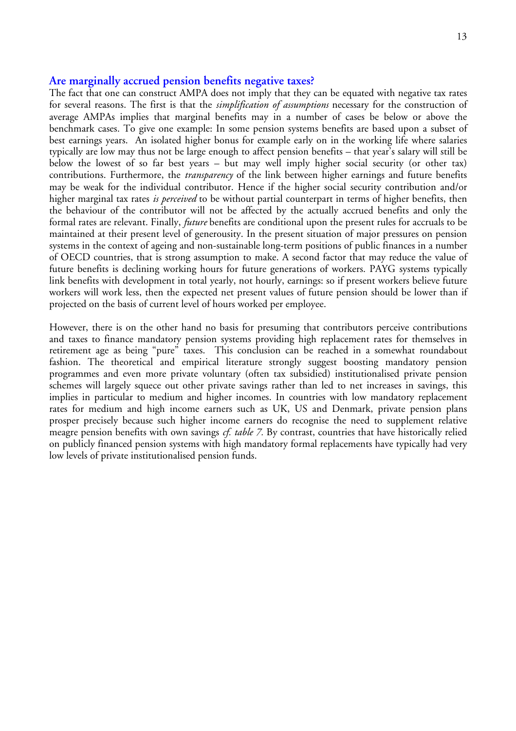#### **Are marginally accrued pension benefits negative taxes?**

The fact that one can construct AMPA does not imply that they can be equated with negative tax rates for several reasons. The first is that the *simplification of assumptions* necessary for the construction of average AMPAs implies that marginal benefits may in a number of cases be below or above the benchmark cases. To give one example: In some pension systems benefits are based upon a subset of best earnings years. An isolated higher bonus for example early on in the working life where salaries typically are low may thus not be large enough to affect pension benefits – that year's salary will still be below the lowest of so far best years – but may well imply higher social security (or other tax) contributions. Furthermore, the *transparency* of the link between higher earnings and future benefits may be weak for the individual contributor. Hence if the higher social security contribution and/or higher marginal tax rates *is perceived* to be without partial counterpart in terms of higher benefits, then the behaviour of the contributor will not be affected by the actually accrued benefits and only the formal rates are relevant. Finally, *future* benefits are conditional upon the present rules for accruals to be maintained at their present level of generousity. In the present situation of major pressures on pension systems in the context of ageing and non-sustainable long-term positions of public finances in a number of OECD countries, that is strong assumption to make. A second factor that may reduce the value of future benefits is declining working hours for future generations of workers. PAYG systems typically link benefits with development in total yearly, not hourly, earnings: so if present workers believe future workers will work less, then the expected net present values of future pension should be lower than if projected on the basis of current level of hours worked per employee.

However, there is on the other hand no basis for presuming that contributors perceive contributions and taxes to finance mandatory pension systems providing high replacement rates for themselves in retirement age as being "pure" taxes. This conclusion can be reached in a somewhat roundabout fashion. The theoretical and empirical literature strongly suggest boosting mandatory pension programmes and even more private voluntary (often tax subsidied) institutionalised private pension schemes will largely squece out other private savings rather than led to net increases in savings, this implies in particular to medium and higher incomes. In countries with low mandatory replacement rates for medium and high income earners such as UK, US and Denmark, private pension plans prosper precisely because such higher income earners do recognise the need to supplement relative meagre pension benefits with own savings *cf. table 7.* By contrast, countries that have historically relied on publicly financed pension systems with high mandatory formal replacements have typically had very low levels of private institutionalised pension funds.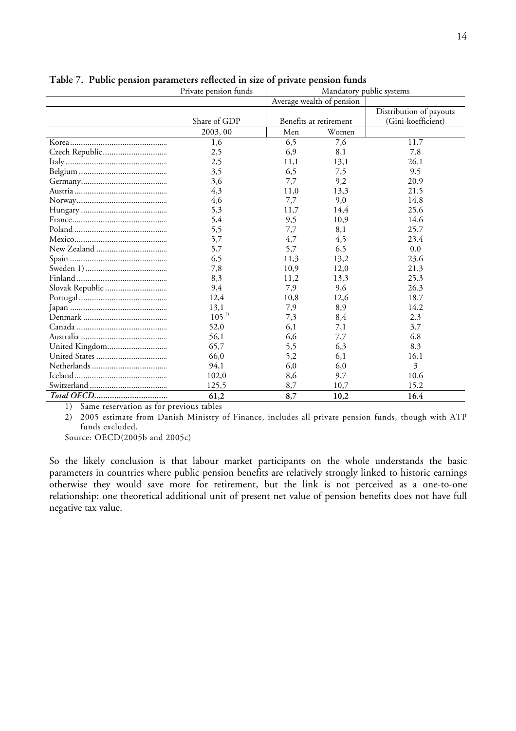| Private pension funds | Mandatory public systems |                           |                         |  |  |
|-----------------------|--------------------------|---------------------------|-------------------------|--|--|
|                       |                          | Average wealth of pension |                         |  |  |
|                       |                          |                           | Distribution of payouts |  |  |
| Share of GDP          |                          | Benefits at retirement    | (Gini-koefficient)      |  |  |
| 2003, 00              | Men                      | Women                     |                         |  |  |
| 1,6                   | 6,5                      | 7,6                       | 11.7                    |  |  |
| 2,5                   | 6,9                      | 8,1                       | 7.8                     |  |  |
| 2,5                   | 11,1                     | 13,1                      | 26.1                    |  |  |
| 3,5                   | 6,5                      | 7,5                       | 9.5                     |  |  |
| 3,6                   | 7,7                      | 9,2                       | 20.9                    |  |  |
| 4,3                   | 11,0                     | 13,3                      | 21.5                    |  |  |
| 4,6                   | 7,7                      | 9,0                       | 14.8                    |  |  |
| 5,3                   | 11,7                     | 14,4                      | 25.6                    |  |  |
| 5,4                   | 9,5                      | 10,9                      | 14.6                    |  |  |
| 5,5                   | 7,7                      | 8,1                       | 25.7                    |  |  |
| 5,7                   | 4,7                      | 4,5                       | 23.4                    |  |  |
| 5,7                   | 5,7                      | 6,5                       | 0.0                     |  |  |
| 6,5                   | 11,3                     | 13,2                      | 23.6                    |  |  |
| 7,8                   | 10,9                     | 12,0                      | 21.3                    |  |  |
| 8,3                   | 11,2                     | 13,3                      | 25.3                    |  |  |
| 9,4                   | 7,9                      | 9,6                       | 26.3                    |  |  |
| 12,4                  | 10,8                     | 12,6                      | 18.7                    |  |  |
| 13,1                  | 7,9                      | 8,9                       | 14.2                    |  |  |
| $105^{2}$             | 7,3                      | 8,4                       | 2.3                     |  |  |
| 52,0                  | 6,1                      | 7,1                       | 3.7                     |  |  |
| 56,1                  | 6,6                      | 7,7                       | 6.8                     |  |  |
| 65,7                  | 5,5                      | 6,3                       | 8.3                     |  |  |
| 66,0                  | 5,2                      | 6,1                       | 16.1                    |  |  |
| 94,1                  | 6,0                      | 6,0                       | 3                       |  |  |
| 102,0                 | 8,6                      | 9,7                       | 10.6                    |  |  |
| 125,5                 | 8,7                      | 10,7                      | 15.2                    |  |  |
| 61,2                  | 8,7                      | 10,2                      | 16.4                    |  |  |

**Table 7. Public pension parameters reflected in size of private pension funds** 

1) Same reservation as for previous tables

2) 2005 estimate from Danish Ministry of Finance, includes all private pension funds, though with ATP funds excluded.

Source: OECD(2005b and 2005c)

So the likely conclusion is that labour market participants on the whole understands the basic parameters in countries where public pension benefits are relatively strongly linked to historic earnings otherwise they would save more for retirement, but the link is not perceived as a one-to-one relationship: one theoretical additional unit of present net value of pension benefits does not have full negative tax value.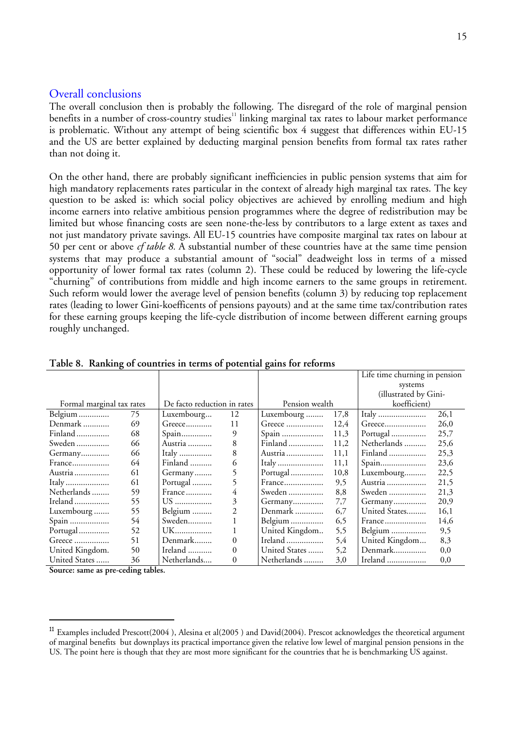### Overall conclusions

The overall conclusion then is probably the following. The disregard of the role of marginal pension benefits in a number of cross-country studies<sup>11</sup> linking marginal tax rates to labour market performance is problematic. Without any attempt of being scientific box 4 suggest that differences within EU-15 and the US are better explained by deducting marginal pension benefits from formal tax rates rather than not doing it.

On the other hand, there are probably significant inefficiencies in public pension systems that aim for high mandatory replacements rates particular in the context of already high marginal tax rates. The key question to be asked is: which social policy objectives are achieved by enrolling medium and high income earners into relative ambitious pension programmes where the degree of redistribution may be limited but whose financing costs are seen none-the-less by contributors to a large extent as taxes and not just mandatory private savings. All EU-15 countries have composite marginal tax rates on labour at 50 per cent or above *cf table 8.* A substantial number of these countries have at the same time pension systems that may produce a substantial amount of "social" deadweight loss in terms of a missed opportunity of lower formal tax rates (column 2). These could be reduced by lowering the life-cycle "churning" of contributions from middle and high income earners to the same groups in retirement. Such reform would lower the average level of pension benefits (column 3) by reducing top replacement rates (leading to lower Gini-koefficents of pensions payouts) and at the same time tax/contribution rates for these earning groups keeping the life-cycle distribution of income between different earning groups roughly unchanged.

|                           |    |                             |          |                |      | Life time churning in pension |      |  |
|---------------------------|----|-----------------------------|----------|----------------|------|-------------------------------|------|--|
|                           |    |                             |          |                |      | systems                       |      |  |
|                           |    |                             |          |                |      | (illustrated by Gini-         |      |  |
| Formal marginal tax rates |    | De facto reduction in rates |          | Pension wealth |      | koefficient)                  |      |  |
| Belgium                   | 75 | Luxembourg                  | 12       | Luxembourg     | 17,8 | Italy                         | 26,1 |  |
| Denmark                   | 69 | Greece                      | 11       | $G$ reece      | 12,4 | Greece                        | 26,0 |  |
| Finland                   | 68 | Spain                       | 9        | Spain          | 11,3 | Portugal                      | 25,7 |  |
| Sweden                    | 66 | Austria                     | 8        | Finland        | 11,2 | Netherlands                   | 25,6 |  |
| Germany                   | 66 | Italy                       | 8        | Austria        | 11,1 | Finland                       | 25,3 |  |
| France                    | 64 | Finland                     | 6        | Italy          | 11,1 | Spain                         | 23,6 |  |
| Austria                   | 61 | Germany                     |          | Portugal       | 10,8 | Luxembourg                    | 22,5 |  |
| Italy                     | 61 | Portugal                    |          | France         | 9,5  | Austria                       | 21,5 |  |
| Netherlands               | 59 | France                      | 4        | Sweden         | 8,8  | Sweden                        | 21,3 |  |
| Ireland                   | 55 | US                          | 3        | Germany        | 7,7  | Germany                       | 20,9 |  |
| Luxembourg                | 55 | Belgium                     | 2        | Denmark        | 6,7  | United States                 | 16,1 |  |
| Spain                     | 54 | Sweden                      |          | Belgium        | 6,5  | France                        | 14,6 |  |
| Portugal                  | 52 | UK                          | 1        | United Kingdom | 5,5  | Belgium                       | 9,5  |  |
| Greece                    | 51 | Denmark                     | $\Omega$ | Ireland        | 5,4  | United Kingdom                | 8,3  |  |
| United Kingdom.           | 50 | Ireland                     | $\Omega$ | United States  | 5,2  | Denmark                       | 0,0  |  |
| United States             | 36 | Netherlands                 | $\theta$ | Netherlands    | 3,0  | Ireland                       | 0,0  |  |

**Table 8. Ranking of countries in terms of potential gains for reforms** 

**Source: same as pre-ceding tables.** 

 $\overline{a}$ 

<sup>&</sup>lt;sup>11</sup> Examples included Prescott(2004), Alesina et al(2005) and David(2004). Prescot acknowledges the theoretical argument of marginal benefits but downplays its practical importance given the relative low lewel of marginal pension pensions in the US. The point here is though that they are most more significant for the countries that he is benchmarking US against.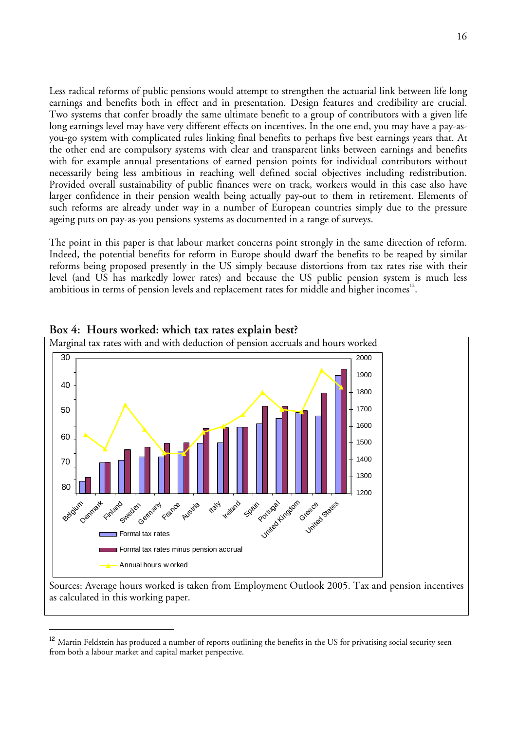Less radical reforms of public pensions would attempt to strengthen the actuarial link between life long earnings and benefits both in effect and in presentation. Design features and credibility are crucial. Two systems that confer broadly the same ultimate benefit to a group of contributors with a given life long earnings level may have very different effects on incentives. In the one end, you may have a pay-asyou-go system with complicated rules linking final benefits to perhaps five best earnings years that. At the other end are compulsory systems with clear and transparent links between earnings and benefits with for example annual presentations of earned pension points for individual contributors without necessarily being less ambitious in reaching well defined social objectives including redistribution. Provided overall sustainability of public finances were on track, workers would in this case also have larger confidence in their pension wealth being actually pay-out to them in retirement. Elements of such reforms are already under way in a number of European countries simply due to the pressure ageing puts on pay-as-you pensions systems as documented in a range of surveys.

The point in this paper is that labour market concerns point strongly in the same direction of reform. Indeed, the potential benefits for reform in Europe should dwarf the benefits to be reaped by similar reforms being proposed presently in the US simply because distortions from tax rates rise with their level (and US has markedly lower rates) and because the US public pension system is much less ambitious in terms of pension levels and replacement rates for middle and higher incomes  $2$ .



**Box 4: Hours worked: which tax rates explain best?**

1

Sources: Average hours worked is taken from Employment Outlook 2005. Tax and pension incentives as calculated in this working paper.

<sup>&</sup>lt;sup>12</sup> Martin Feldstein has produced a number of reports outlining the benefits in the US for privatising social security seen from both a labour market and capital market perspective.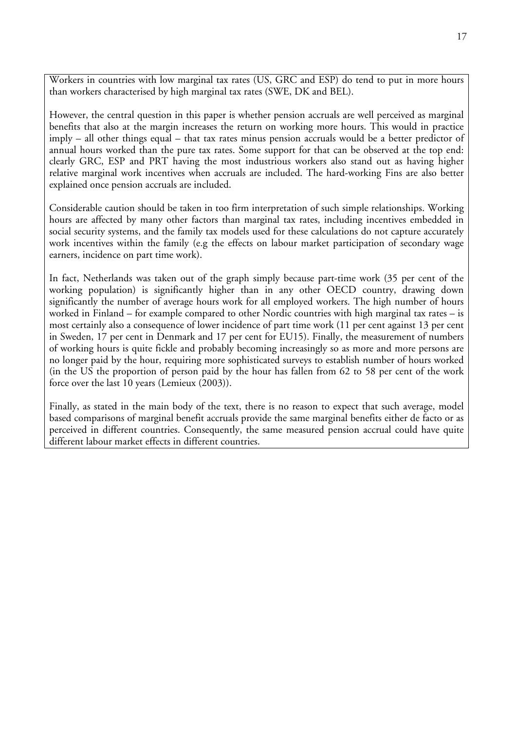Workers in countries with low marginal tax rates (US, GRC and ESP) do tend to put in more hours than workers characterised by high marginal tax rates (SWE, DK and BEL).

However, the central question in this paper is whether pension accruals are well perceived as marginal benefits that also at the margin increases the return on working more hours. This would in practice imply – all other things equal – that tax rates minus pension accruals would be a better predictor of annual hours worked than the pure tax rates. Some support for that can be observed at the top end: clearly GRC, ESP and PRT having the most industrious workers also stand out as having higher relative marginal work incentives when accruals are included. The hard-working Fins are also better explained once pension accruals are included.

Considerable caution should be taken in too firm interpretation of such simple relationships. Working hours are affected by many other factors than marginal tax rates, including incentives embedded in social security systems, and the family tax models used for these calculations do not capture accurately work incentives within the family (e.g the effects on labour market participation of secondary wage earners, incidence on part time work).

In fact, Netherlands was taken out of the graph simply because part-time work (35 per cent of the working population) is significantly higher than in any other OECD country, drawing down significantly the number of average hours work for all employed workers. The high number of hours worked in Finland – for example compared to other Nordic countries with high marginal tax rates – is most certainly also a consequence of lower incidence of part time work (11 per cent against 13 per cent in Sweden, 17 per cent in Denmark and 17 per cent for EU15). Finally, the measurement of numbers of working hours is quite fickle and probably becoming increasingly so as more and more persons are no longer paid by the hour, requiring more sophisticated surveys to establish number of hours worked (in the US the proportion of person paid by the hour has fallen from 62 to 58 per cent of the work force over the last 10 years (Lemieux (2003)).

Finally, as stated in the main body of the text, there is no reason to expect that such average, model based comparisons of marginal benefit accruals provide the same marginal benefits either de facto or as perceived in different countries. Consequently, the same measured pension accrual could have quite different labour market effects in different countries.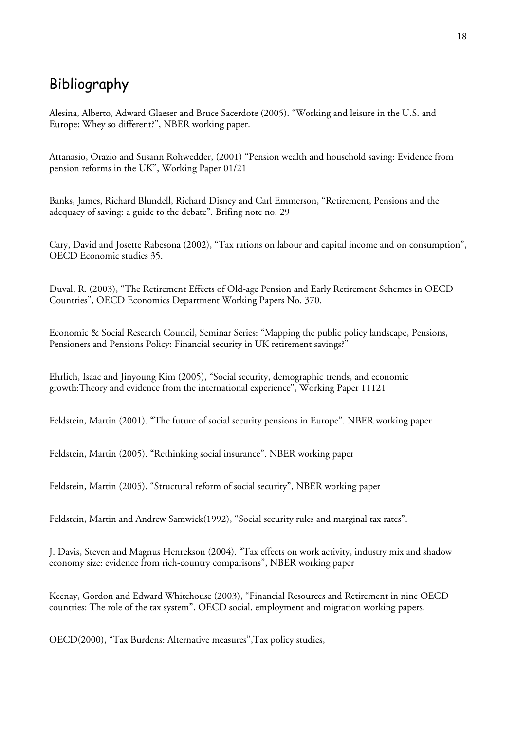# Bibliography

Alesina, Alberto, Adward Glaeser and Bruce Sacerdote (2005). "Working and leisure in the U.S. and Europe: Whey so different?", NBER working paper.

Attanasio, Orazio and Susann Rohwedder, (2001) "Pension wealth and household saving: Evidence from pension reforms in the UK", Working Paper 01/21

Banks, James, Richard Blundell, Richard Disney and Carl Emmerson, "Retirement, Pensions and the adequacy of saving: a guide to the debate". Brifing note no. 29

Cary, David and Josette Rabesona (2002), "Tax rations on labour and capital income and on consumption", OECD Economic studies 35.

Duval, R. (2003), "The Retirement Effects of Old-age Pension and Early Retirement Schemes in OECD Countries", OECD Economics Department Working Papers No. 370.

Economic & Social Research Council, Seminar Series: "Mapping the public policy landscape, Pensions, Pensioners and Pensions Policy: Financial security in UK retirement savings?"

Ehrlich, Isaac and Jinyoung Kim (2005), "Social security, demographic trends, and economic growth:Theory and evidence from the international experience", Working Paper 11121

Feldstein, Martin (2001). "The future of social security pensions in Europe". NBER working paper

Feldstein, Martin (2005). "Rethinking social insurance". NBER working paper

Feldstein, Martin (2005). "Structural reform of social security", NBER working paper

Feldstein, Martin and Andrew Samwick(1992), "Social security rules and marginal tax rates".

J. Davis, Steven and Magnus Henrekson (2004). "Tax effects on work activity, industry mix and shadow economy size: evidence from rich-country comparisons", NBER working paper

Keenay, Gordon and Edward Whitehouse (2003), "Financial Resources and Retirement in nine OECD countries: The role of the tax system". OECD social, employment and migration working papers.

OECD(2000), "Tax Burdens: Alternative measures",Tax policy studies,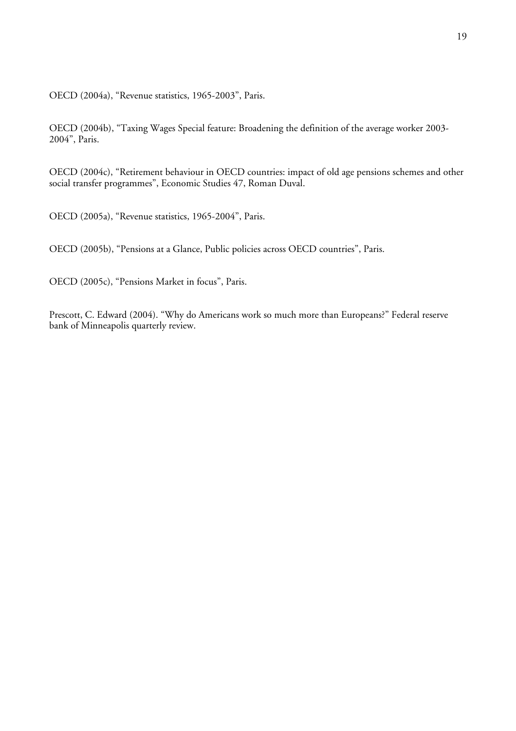OECD (2004a), "Revenue statistics, 1965-2003", Paris.

OECD (2004b), "Taxing Wages Special feature: Broadening the definition of the average worker 2003- 2004", Paris.

OECD (2004c), "Retirement behaviour in OECD countries: impact of old age pensions schemes and other social transfer programmes", Economic Studies 47, Roman Duval.

OECD (2005a), "Revenue statistics, 1965-2004", Paris.

OECD (2005b), "Pensions at a Glance, Public policies across OECD countries", Paris.

OECD (2005c), "Pensions Market in focus", Paris.

Prescott, C. Edward (2004). "Why do Americans work so much more than Europeans?" Federal reserve bank of Minneapolis quarterly review.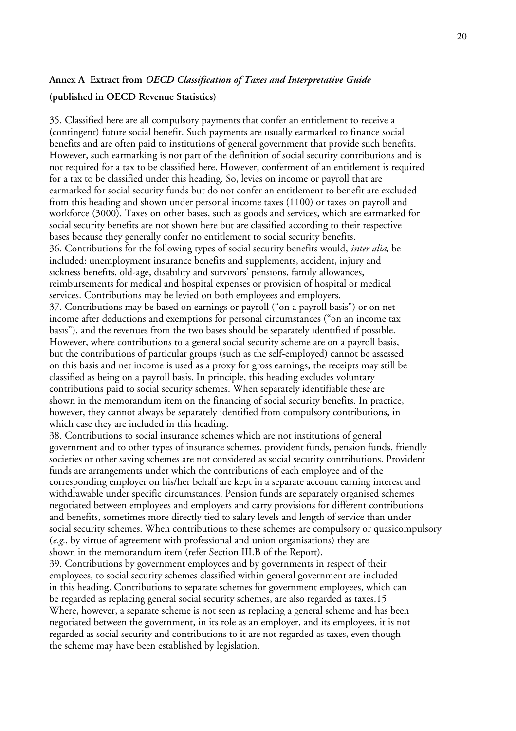#### **Annex A Extract from** *OECD Classification of Taxes and Interpretative Guide*

#### **(published in OECD Revenue Statistics)**

35. Classified here are all compulsory payments that confer an entitlement to receive a (contingent) future social benefit. Such payments are usually earmarked to finance social benefits and are often paid to institutions of general government that provide such benefits. However, such earmarking is not part of the definition of social security contributions and is not required for a tax to be classified here. However, conferment of an entitlement is required for a tax to be classified under this heading. So, levies on income or payroll that are earmarked for social security funds but do not confer an entitlement to benefit are excluded from this heading and shown under personal income taxes (1100) or taxes on payroll and workforce (3000). Taxes on other bases, such as goods and services, which are earmarked for social security benefits are not shown here but are classified according to their respective bases because they generally confer no entitlement to social security benefits. 36. Contributions for the following types of social security benefits would, *inter alia*, be included: unemployment insurance benefits and supplements, accident, injury and sickness benefits, old-age, disability and survivors' pensions, family allowances, reimbursements for medical and hospital expenses or provision of hospital or medical services. Contributions may be levied on both employees and employers. 37. Contributions may be based on earnings or payroll ("on a payroll basis") or on net income after deductions and exemptions for personal circumstances ("on an income tax basis"), and the revenues from the two bases should be separately identified if possible. However, where contributions to a general social security scheme are on a payroll basis, but the contributions of particular groups (such as the self-employed) cannot be assessed on this basis and net income is used as a proxy for gross earnings, the receipts may still be classified as being on a payroll basis. In principle, this heading excludes voluntary contributions paid to social security schemes. When separately identifiable these are shown in the memorandum item on the financing of social security benefits. In practice, however, they cannot always be separately identified from compulsory contributions, in which case they are included in this heading.

38. Contributions to social insurance schemes which are not institutions of general government and to other types of insurance schemes, provident funds, pension funds, friendly societies or other saving schemes are not considered as social security contributions. Provident funds are arrangements under which the contributions of each employee and of the corresponding employer on his/her behalf are kept in a separate account earning interest and withdrawable under specific circumstances. Pension funds are separately organised schemes negotiated between employees and employers and carry provisions for different contributions and benefits, sometimes more directly tied to salary levels and length of service than under social security schemes. When contributions to these schemes are compulsory or quasicompulsory (*e.g.*, by virtue of agreement with professional and union organisations) they are shown in the memorandum item (refer Section III.B of the Report).

39. Contributions by government employees and by governments in respect of their employees, to social security schemes classified within general government are included in this heading. Contributions to separate schemes for government employees, which can be regarded as replacing general social security schemes, are also regarded as taxes.15 Where, however, a separate scheme is not seen as replacing a general scheme and has been negotiated between the government, in its role as an employer, and its employees, it is not regarded as social security and contributions to it are not regarded as taxes, even though the scheme may have been established by legislation.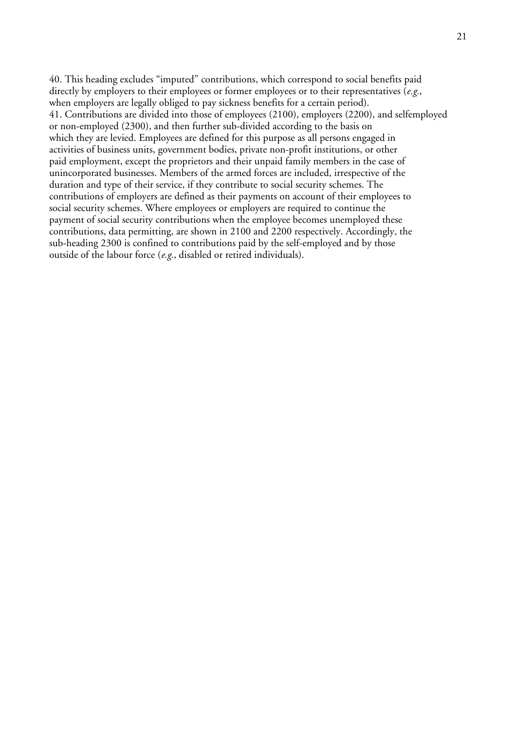40. This heading excludes "imputed" contributions, which correspond to social benefits paid directly by employers to their employees or former employees or to their representatives (*e.g.*, when employers are legally obliged to pay sickness benefits for a certain period). 41. Contributions are divided into those of employees (2100), employers (2200), and selfemployed or non-employed (2300), and then further sub-divided according to the basis on which they are levied. Employees are defined for this purpose as all persons engaged in activities of business units, government bodies, private non-profit institutions, or other paid employment, except the proprietors and their unpaid family members in the case of unincorporated businesses. Members of the armed forces are included, irrespective of the duration and type of their service, if they contribute to social security schemes. The contributions of employers are defined as their payments on account of their employees to social security schemes. Where employees or employers are required to continue the payment of social security contributions when the employee becomes unemployed these contributions, data permitting, are shown in 2100 and 2200 respectively. Accordingly, the sub-heading 2300 is confined to contributions paid by the self-employed and by those outside of the labour force (*e.g.*, disabled or retired individuals).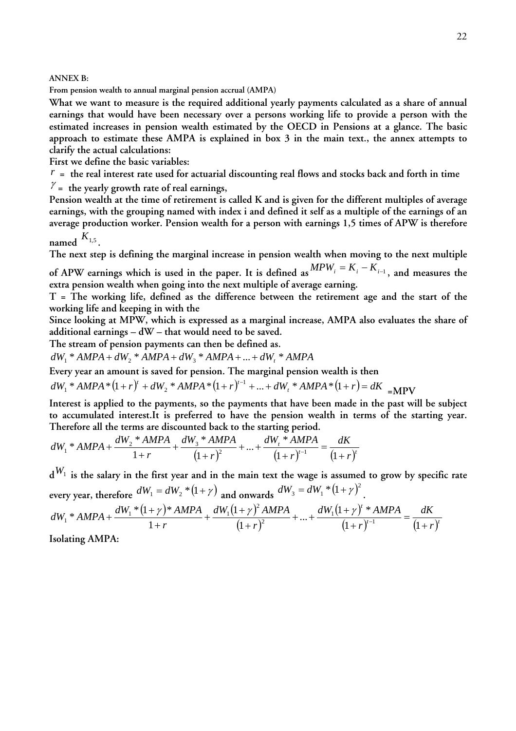#### **ANNEX B:**

**From pension wealth to annual marginal pension accrual (AMPA)** 

**What we want to measure is the required additional yearly payments calculated as a share of annual earnings that would have been necessary over a persons working life to provide a person with the estimated increases in pension wealth estimated by the OECD in Pensions at a glance. The basic approach to estimate these AMPA is explained in box 3 in the main text., the annex attempts to clarify the actual calculations:** 

**First we define the basic variables:** 

*r* **= the real interest rate used for actuarial discounting real flows and stocks back and forth in time** 

 $\gamma$  = the yearly growth rate of real earnings,

**Pension wealth at the time of retirement is called K and is given for the different multiples of average earnings, with the grouping named with index i and defined it self as a multiple of the earnings of an average production worker. Pension wealth for a person with earnings 1,5 times of APW is therefore** 

 $K_{1,5}$   $K_{1,5}$ 

**The next step is defining the marginal increase in pension wealth when moving to the next multiple**  of APW earnings which is used in the paper. It is defined as  $MPW_i = K_i - K_{i-1}$ , and measures the **extra pension wealth when going into the next multiple of average earning.** 

**T = The working life, defined as the difference between the retirement age and the start of the working life and keeping in with the** 

**Since looking at MPW, which is expressed as a marginal increase, AMPA also evaluates the share of additional earnings – dW – that would need to be saved.** 

**The stream of pension payments can then be defined as.** 

 $dW_1 * AMPA + dW_2 * AMPA + dW_3$ 

Every vear an amount is saved for pension. The marginal pension wealth is then

 $dW_1 * AMPA * (1+r)' + dW_2 * AMPA * (1+r)^{t-1} + ... + dW_t * AMPA * (1+r) = dK$  =MPV

**Interest is applied to the payments, so the payments that have been made in the past will be subject to accumulated interest.It is preferred to have the pension wealth in terms of the starting year. Therefore all the terms are discounted back to the starting period.** 

$$
dW_1 * AMPA + \frac{dW_2 * AMPA}{1+r} + \frac{dW_3 * AMPA}{(1+r)^2} + \dots + \frac{dW_t * AMPA}{(1+r)^{t-1}} = \frac{dK}{(1+r)^t}
$$

**<sup>d</sup>***W*1 **is the salary in the first year and in the main text the wage is assumed to grow by specific rate every year, therefore**  $dW_1 = dW_2 * (1 + \gamma)$  and onwards  $dW_3 = dW_1 * (1 + \gamma)^2$ .

$$
dW_1 * AMPA + \frac{dW_1 * (1+\gamma)*AMPA}{1+r} + \frac{dW_1(1+\gamma)^2 AMPA}{(1+r)^2} + \dots + \frac{dW_1(1+\gamma)^{t} * AMPA}{(1+r)^{t-1}} = \frac{dK}{(1+r)^{t}}
$$

**Isolating AMPA:**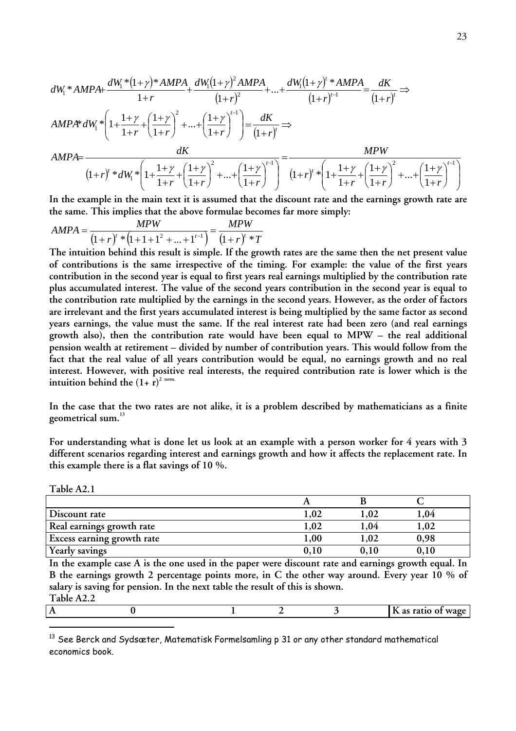$$
dW_{1} * AMPA + \frac{dW_{1} * (1+\gamma) * AMPA}{1+r} + \frac{dW_{1}(1+\gamma)^{2} AMPA}{(1+r)^{2}} + ... + \frac{dW_{1}(1+\gamma)' * AMPA}{(1+r)^{t-1}} = \frac{dK}{(1+r)^{t}}
$$
  
\n
$$
AMPA* dW_{1} * \left(1 + \frac{1+\gamma}{1+r} + \left(\frac{1+\gamma}{1+r}\right)^{2} + ... + \left(\frac{1+\gamma}{1+r}\right)^{t-1}\right) = \frac{dK}{(1+r)^{t}}
$$
  
\n
$$
AMPA= \frac{dK}{(1+r)^{t} * dW_{1} * \left(1 + \frac{1+\gamma}{1+r} + \left(\frac{1+\gamma}{1+r}\right)^{2} + ... + \left(\frac{1+\gamma}{1+r}\right)^{t-1}\right)} = \frac{MPW}{(1+r)^{t} * \left(1 + \frac{1+\gamma}{1+r} + \left(\frac{1+\gamma}{1+r}\right)^{2} + ... + \left(\frac{1+\gamma}{1+r}\right)^{t-1}\right)}
$$

**In the example in the main text it is assumed that the discount rate and the earnings growth rate are the same. This implies that the above formulae becomes far more simply:** 

$$
AMPA = \frac{MPW}{(1+r)^{t} * (1+1+1^{2}+...+1^{t-1})} = \frac{MPW}{(1+r)^{t} * T}
$$

 **The intuition behind this result is simple. If the growth rates are the same then the net present value of contributions is the same irrespective of the timing. For example: the value of the first years contribution in the second year is equal to first years real earnings multiplied by the contribution rate plus accumulated interest. The value of the second years contribution in the second year is equal to the contribution rate multiplied by the earnings in the second years. However, as the order of factors are irrelevant and the first years accumulated interest is being multiplied by the same factor as second years earnings, the value must the same. If the real interest rate had been zero (and real earnings growth also), then the contribution rate would have been equal to MPW – the real additional pension wealth at retirement – divided by number of contribution years. This would follow from the fact that the real value of all years contribution would be equal, no earnings growth and no real interest. However, with positive real interests, the required contribution rate is lower which is the intuition behind the**  $(1 + r)^2$  term.

**In the case that the two rates are not alike, it is a problem described by mathematicians as a finite geometrical sum.13**

**For understanding what is done let us look at an example with a person worker for 4 years with 3 different scenarios regarding interest and earnings growth and how it affects the replacement rate. In this example there is a flat savings of 10 %.** 

| Table A2.1 |  |
|------------|--|
|            |  |

| Discount rate                                                                                       | 1,02 | 1,02 | 1,04 |  |
|-----------------------------------------------------------------------------------------------------|------|------|------|--|
| Real earnings growth rate                                                                           | 1,02 | 1,04 | 1,02 |  |
| Excess earning growth rate                                                                          | 1,00 | 1,02 | 0,98 |  |
| Yearly savings                                                                                      | 0.10 | 0.10 | 0.10 |  |
| In the example case A is the one used in the paper were discount rate and earnings growth equal. In |      |      |      |  |
| B the earnings growth 2 percentage points more, in C the other way around. Every year 10 % of       |      |      |      |  |

**salary is saving for pension. In the next table the result of this is shown. Table A2.2** 

| $\mathbf{u}$ |  |  | $\blacksquare$ K as ratio of w<br>wage |
|--------------|--|--|----------------------------------------|
|              |  |  |                                        |

 $13$  See Berck and Sydsæter, Matematisk Formelsamling p 31 or any other standard mathematical economics book.